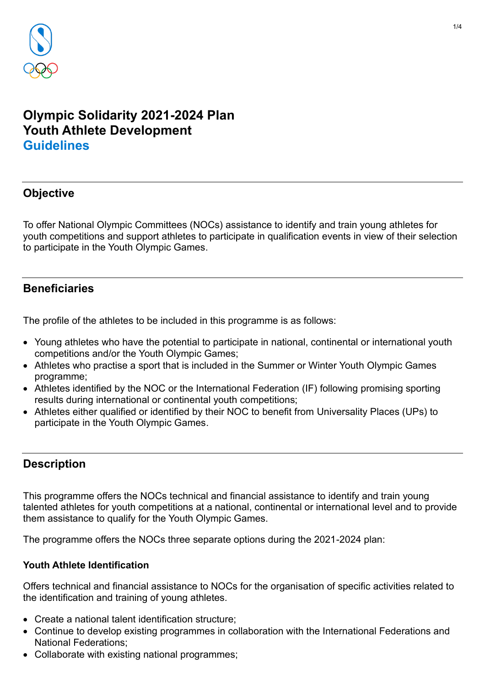

# **Olympic Solidarity 2021-2024 Plan Youth Athlete Development Guidelines**

# **Objective**

To offer National Olympic Committees (NOCs) assistance to identify and train young athletes for youth competitions and support athletes to participate in qualification events in view of their selection to participate in the Youth Olympic Games.

# **Beneficiaries**

The profile of the athletes to be included in this programme is as follows:

- Young athletes who have the potential to participate in national, continental or international youth competitions and/or the Youth Olympic Games;
- Athletes who practise a sport that is included in the Summer or Winter Youth Olympic Games programme;
- Athletes identified by the NOC or the International Federation (IF) following promising sporting results during international or continental youth competitions;
- Athletes either qualified or identified by their NOC to benefit from Universality Places (UPs) to participate in the Youth Olympic Games.

# **Description**

This programme offers the NOCs technical and financial assistance to identify and train young talented athletes for youth competitions at a national, continental or international level and to provide them assistance to qualify for the Youth Olympic Games.

The programme offers the NOCs three separate options during the 2021-2024 plan:

#### **Youth Athlete Identification**

Offers technical and financial assistance to NOCs for the organisation of specific activities related to the identification and training of young athletes.

- Create a national talent identification structure;
- Continue to develop existing programmes in collaboration with the International Federations and National Federations;
- Collaborate with existing national programmes;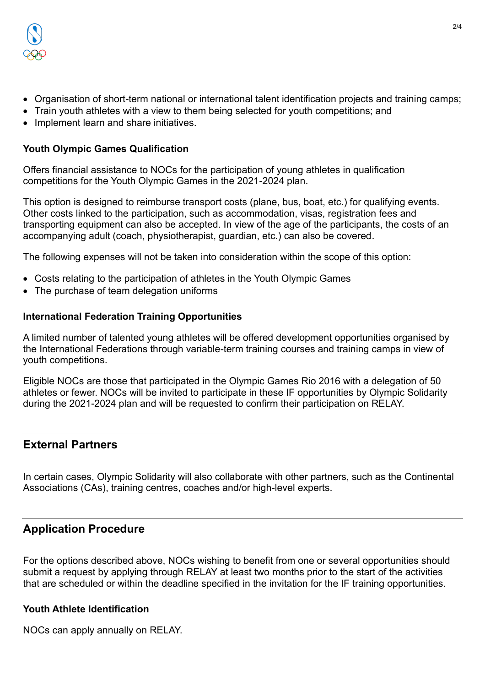

- Organisation of short-term national or international talent identification projects and training camps;
- Train youth athletes with a view to them being selected for youth competitions; and
- Implement learn and share initiatives.

#### **Youth Olympic Games Qualification**

Offers financial assistance to NOCs for the participation of young athletes in qualification competitions for the Youth Olympic Games in the 2021-2024 plan.

This option is designed to reimburse transport costs (plane, bus, boat, etc.) for qualifying events. Other costs linked to the participation, such as accommodation, visas, registration fees and transporting equipment can also be accepted. In view of the age of the participants, the costs of an accompanying adult (coach, physiotherapist, guardian, etc.) can also be covered.

The following expenses will not be taken into consideration within the scope of this option:

- Costs relating to the participation of athletes in the Youth Olympic Games
- The purchase of team delegation uniforms

#### **International Federation Training Opportunities**

A limited number of talented young athletes will be offered development opportunities organised by the International Federations through variable-term training courses and training camps in view of youth competitions.

Eligible NOCs are those that participated in the Olympic Games Rio 2016 with a delegation of 50 athletes or fewer. NOCs will be invited to participate in these IF opportunities by Olympic Solidarity during the 2021-2024 plan and will be requested to confirm their participation on RELAY.

### **External Partners**

In certain cases, Olympic Solidarity will also collaborate with other partners, such as the Continental Associations (CAs), training centres, coaches and/or high-level experts.

# **Application Procedure**

For the options described above, NOCs wishing to benefit from one or several opportunities should submit a request by applying through RELAY at least two months prior to the start of the activities that are scheduled or within the deadline specified in the invitation for the IF training opportunities.

#### **Youth Athlete Identification**

NOCs can apply annually on RELAY.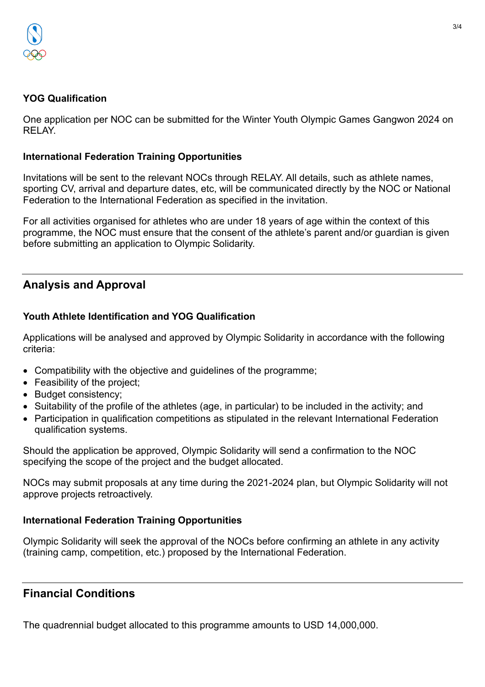

### **YOG Qualification**

One application per NOC can be submitted for the Winter Youth Olympic Games Gangwon 2024 on RELAY.

### **International Federation Training Opportunities**

Invitations will be sent to the relevant NOCs through RELAY. All details, such as athlete names, sporting CV, arrival and departure dates, etc, will be communicated directly by the NOC or National Federation to the International Federation as specified in the invitation.

For all activities organised for athletes who are under 18 years of age within the context of this programme, the NOC must ensure that the consent of the athlete's parent and/or guardian is given before submitting an application to Olympic Solidarity.

# **Analysis and Approval**

### **Youth Athlete Identification and YOG Qualification**

Applications will be analysed and approved by Olympic Solidarity in accordance with the following criteria:

- Compatibility with the objective and guidelines of the programme;
- Feasibility of the project;
- Budget consistency;
- Suitability of the profile of the athletes (age, in particular) to be included in the activity; and
- Participation in qualification competitions as stipulated in the relevant International Federation qualification systems.

Should the application be approved, Olympic Solidarity will send a confirmation to the NOC specifying the scope of the project and the budget allocated.

NOCs may submit proposals at any time during the 2021-2024 plan, but Olympic Solidarity will not approve projects retroactively.

### **International Federation Training Opportunities**

Olympic Solidarity will seek the approval of the NOCs before confirming an athlete in any activity (training camp, competition, etc.) proposed by the International Federation.

# **Financial Conditions**

The quadrennial budget allocated to this programme amounts to USD 14,000,000.